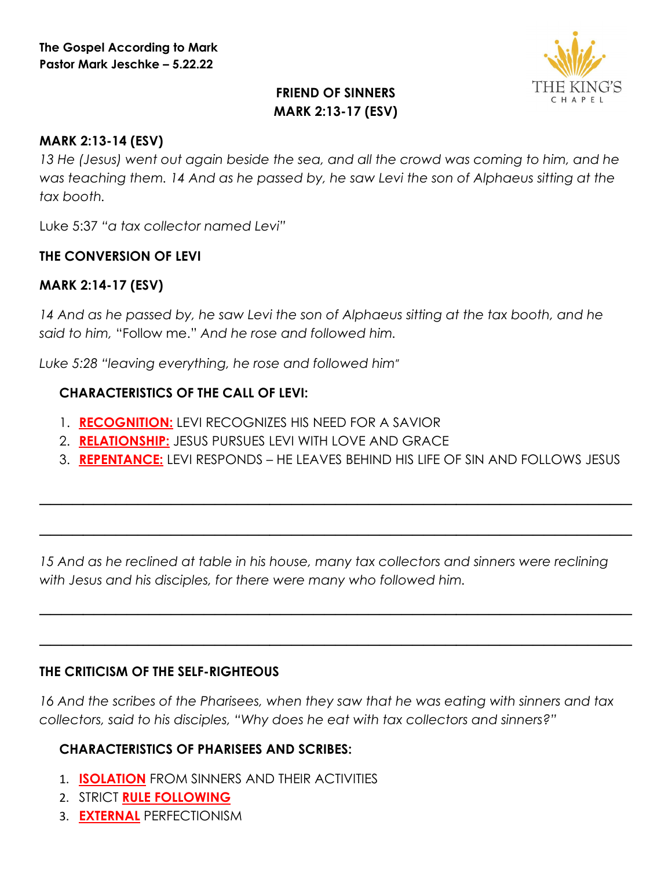

# **FRIEND OF SINNERS MARK 2:13-17 (ESV)**

#### **MARK 2:13-14 (ESV)**

*13 He (Jesus) went out again beside the sea, and all the crowd was coming to him, and he was teaching them. 14 And as he passed by, he saw Levi the son of Alphaeus sitting at the tax booth.* 

Luke 5:37 *"a tax collector named Levi"*

#### **THE CONVERSION OF LEVI**

### **MARK 2:14-17 (ESV)**

14 And as he passed by, he saw Levi the son of Alphaeus sitting at the tax booth, and he *said to him,* "Follow me." *And he rose and followed him.* 

*Luke 5:28 "leaving everything, he rose and followed him*"

#### **CHARACTERISTICS OF THE CALL OF LEVI:**

- 1. **RECOGNITION:** LEVI RECOGNIZES HIS NEED FOR A SAVIOR
- 2. **RELATIONSHIP:** JESUS PURSUES LEVI WITH LOVE AND GRACE
- 3. **REPENTANCE:** LEVI RESPONDS HE LEAVES BEHIND HIS LIFE OF SIN AND FOLLOWS JESUS

*\_\_\_\_\_\_\_\_\_\_\_\_\_\_\_\_\_\_\_\_\_\_\_\_\_\_\_\_\_\_\_\_\_\_\_\_\_\_\_\_\_\_\_\_\_\_\_\_\_\_\_\_\_\_*

*\_\_\_\_\_\_\_\_\_\_\_\_\_\_\_\_\_\_\_\_\_\_\_\_\_\_\_\_\_\_\_\_\_\_\_\_\_\_\_\_\_\_\_\_\_\_\_\_\_\_\_\_\_\_*

*\_\_\_\_\_\_\_\_\_\_\_\_\_\_\_\_\_\_\_\_\_\_\_\_\_\_\_\_\_\_\_\_\_\_\_\_\_\_\_\_\_\_\_\_\_\_\_\_\_\_\_\_\_\_*

*\_\_\_\_\_\_\_\_\_\_\_\_\_\_\_\_\_\_\_\_\_\_\_\_\_\_\_\_\_\_\_\_\_\_\_\_\_\_\_\_\_\_\_\_\_\_\_\_\_\_\_\_\_\_*

*15 And as he reclined at table in his house, many tax collectors and sinners were reclining with Jesus and his disciples, for there were many who followed him.*

#### **THE CRITICISM OF THE SELF-RIGHTEOUS**

*16 And the scribes of the Pharisees, when they saw that he was eating with sinners and tax collectors, said to his disciples, "Why does he eat with tax collectors and sinners?"* 

## **CHARACTERISTICS OF PHARISEES AND SCRIBES:**

- 1. **ISOLATION** FROM SINNERS AND THEIR ACTIVITIES
- 2. STRICT **RULE FOLLOWING**
- 3. **EXTERNAL** PERFECTIONISM